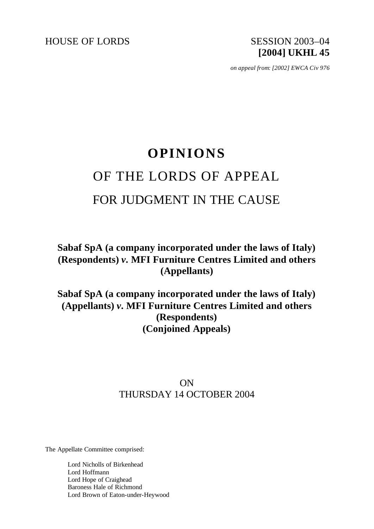

*on appeal from: [2002] EWCA Civ 976*

# **OPINIONS** OF THE LORDS OF APPEAL FOR JUDGMENT IN THE CAUSE

# **Sabaf SpA (a company incorporated under the laws of Italy) (Respondents)** *v.* **MFI Furniture Centres Limited and others (Appellants)**

# **Sabaf SpA (a company incorporated under the laws of Italy) (Appellants)** *v.* **MFI Furniture Centres Limited and others (Respondents) (Conjoined Appeals)**

# ON THURSDAY 14 OCTOBER 2004

The Appellate Committee comprised:

Lord Nicholls of Birkenhead Lord Hoffmann Lord Hope of Craighead Baroness Hale of Richmond Lord Brown of Eaton-under-Heywood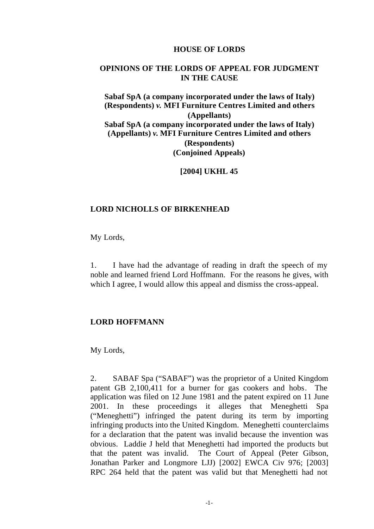#### **HOUSE OF LORDS**

#### **OPINIONS OF THE LORDS OF APPEAL FOR JUDGMENT IN THE CAUSE**

## **Sabaf SpA (a company incorporated under the laws of Italy) (Respondents)** *v.* **MFI Furniture Centres Limited and others (Appellants) Sabaf SpA (a company incorporated under the laws of Italy) (Appellants)** *v.* **MFI Furniture Centres Limited and others (Respondents) (Conjoined Appeals)**

**[2004] UKHL 45**

#### **LORD NICHOLLS OF BIRKENHEAD**

My Lords,

1. I have had the advantage of reading in draft the speech of my noble and learned friend Lord Hoffmann. For the reasons he gives, with which I agree, I would allow this appeal and dismiss the cross-appeal.

#### **LORD HOFFMANN**

My Lords,

2. SABAF Spa ("SABAF") was the proprietor of a United Kingdom patent GB 2,100,411 for a burner for gas cookers and hobs. The application was filed on 12 June 1981 and the patent expired on 11 June 2001. In these proceedings it alleges that Meneghetti Spa ("Meneghetti") infringed the patent during its term by importing infringing products into the United Kingdom. Meneghetti counterclaims for a declaration that the patent was invalid because the invention was obvious. Laddie J held that Meneghetti had imported the products but that the patent was invalid. The Court of Appeal (Peter Gibson, Jonathan Parker and Longmore LJJ) [2002] EWCA Civ 976; [2003] RPC 264 held that the patent was valid but that Meneghetti had not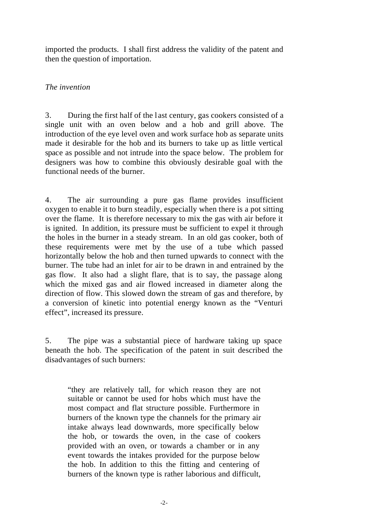imported the products. I shall first address the validity of the patent and then the question of importation.

# *The invention*

3. During the first half of the l ast century, gas cookers consisted of a single unit with an oven below and a hob and grill above. The introduction of the eye level oven and work surface hob as separate units made it desirable for the hob and its burners to take up as little vertical space as possible and not intrude into the space below. The problem for designers was how to combine this obviously desirable goal with the functional needs of the burner.

4. The air surrounding a pure gas flame provides insufficient oxygen to enable it to burn steadily, especially when there is a pot sitting over the flame. It is therefore necessary to mix the gas with air before it is ignited. In addition, its pressure must be sufficient to expel it through the holes in the burner in a steady stream. In an old gas cooker, both of these requirements were met by the use of a tube which passed horizontally below the hob and then turned upwards to connect with the burner. The tube had an inlet for air to be drawn in and entrained by the gas flow. It also had a slight flare, that is to say, the passage along which the mixed gas and air flowed increased in diameter along the direction of flow. This slowed down the stream of gas and therefore, by a conversion of kinetic into potential energy known as the "Venturi effect", increased its pressure.

5. The pipe was a substantial piece of hardware taking up space beneath the hob. The specification of the patent in suit described the disadvantages of such burners:

"they are relatively tall, for which reason they are not suitable or cannot be used for hobs which must have the most compact and flat structure possible. Furthermore in burners of the known type the channels for the primary air intake always lead downwards, more specifically below the hob, or towards the oven, in the case of cookers provided with an oven, or towards a chamber or in any event towards the intakes provided for the purpose below the hob. In addition to this the fitting and centering of burners of the known type is rather laborious and difficult,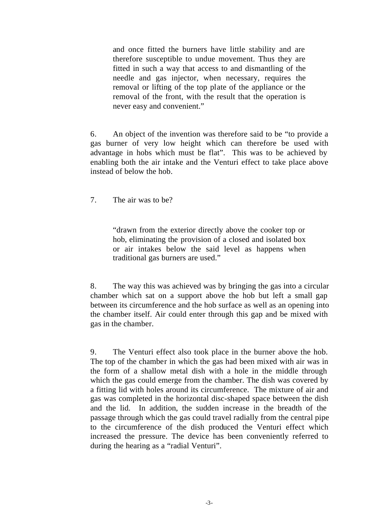and once fitted the burners have little stability and are therefore susceptible to undue movement. Thus they are fitted in such a way that access to and dismantling of the needle and gas injector, when necessary, requires the removal or lifting of the top plate of the appliance or the removal of the front, with the result that the operation is never easy and convenient."

6. An object of the invention was therefore said to be "to provide a gas burner of very low height which can therefore be used with advantage in hobs which must be flat". This was to be achieved by enabling both the air intake and the Venturi effect to take place above instead of below the hob.

7. The air was to be?

"drawn from the exterior directly above the cooker top or hob, eliminating the provision of a closed and isolated box or air intakes below the said level as happens when traditional gas burners are used."

8. The way this was achieved was by bringing the gas into a circular chamber which sat on a support above the hob but left a small gap between its circumference and the hob surface as well as an opening into the chamber itself. Air could enter through this gap and be mixed with gas in the chamber.

9. The Venturi effect also took place in the burner above the hob. The top of the chamber in which the gas had been mixed with air was in the form of a shallow metal dish with a hole in the middle through which the gas could emerge from the chamber. The dish was covered by a fitting lid with holes around its circumference. The mixture of air and gas was completed in the horizontal disc-shaped space between the dish and the lid. In addition, the sudden increase in the breadth of the passage through which the gas could travel radially from the central pipe to the circumference of the dish produced the Venturi effect which increased the pressure. The device has been conveniently referred to during the hearing as a "radial Venturi".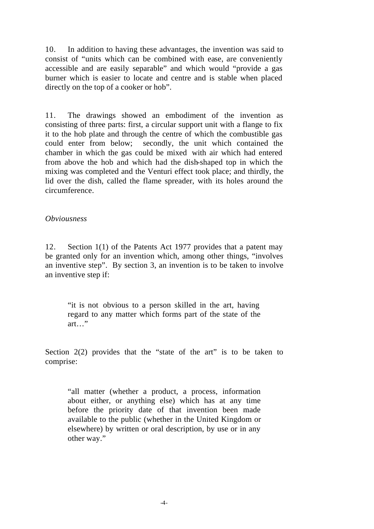10. In addition to having these advantages, the invention was said to consist of "units which can be combined with ease, are conveniently accessible and are easily separable" and which would "provide a gas burner which is easier to locate and centre and is stable when placed directly on the top of a cooker or hob".

11. The drawings showed an embodiment of the invention as consisting of three parts: first, a circular support unit with a flange to fix it to the hob plate and through the centre of which the combustible gas could enter from below; secondly, the unit which contained the chamber in which the gas could be mixed with air which had entered from above the hob and which had the dish-shaped top in which the mixing was completed and the Venturi effect took place; and thirdly, the lid over the dish, called the flame spreader, with its holes around the circumference.

#### *Obviousness*

12. Section 1(1) of the Patents Act 1977 provides that a patent may be granted only for an invention which, among other things, "involves an inventive step". By section 3, an invention is to be taken to involve an inventive step if:

"it is not obvious to a person skilled in the art, having regard to any matter which forms part of the state of the art…"

Section 2(2) provides that the "state of the art" is to be taken to comprise:

"all matter (whether a product, a process, information about either, or anything else) which has at any time before the priority date of that invention been made available to the public (whether in the United Kingdom or elsewhere) by written or oral description, by use or in any other way."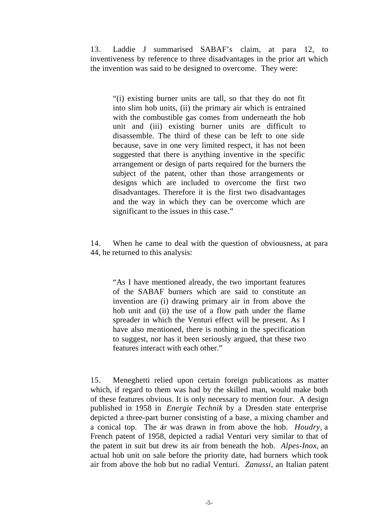13. Laddie J summarised SABAF's claim, at para 12, to inventiveness by reference to three disadvantages in the prior art which the invention was said to be designed to overcome. They were:

"(i) existing burner units are tall, so that they do not fit into slim hob units, (ii) the primary air which is entrained with the combustible gas comes from underneath the hob unit and (iii) existing burner units are difficult to disassemble. The third of these can be left to one side because, save in one very limited respect, it has not been suggested that there is anything inventive in the specific arrangement or design of parts required for the burners the subject of the patent, other than those arrangements or designs which are included to overcome the first two disadvantages. Therefore it is the first two disadvantages and the way in which they can be overcome which are significant to the issues in this case."

14. When he came to deal with the question of obviousness, at para 44, he returned to this analysis:

"As I have mentioned already, the two important features of the SABAF burners which are said to constitute an invention are (i) drawing primary air in from above the hob unit and (ii) the use of a flow path under the flame spreader in which the Venturi effect will be present. As I have also mentioned, there is nothing in the specification to suggest, nor has it been seriously argued, that these two features interact with each other."

15. Meneghetti relied upon certain foreign publications as matter which, if regard to them was had by the skilled man, would make both of these features obvious. It is only necessary to mention four. A design published in 1958 in *Energie Technik* by a Dresden state enterprise depicted a three-part burner consisting of a base, a mixing chamber and a conical top. The air was drawn in from above the hob. *Houdry,* a French patent of 1958, depicted a radial Venturi very similar to that of the patent in suit but drew its air from beneath the hob. *Alpes-Inox*, an actual hob unit on sale before the priority date, had burners which took air from above the hob but no radial Venturi. *Zanussi*, an Italian patent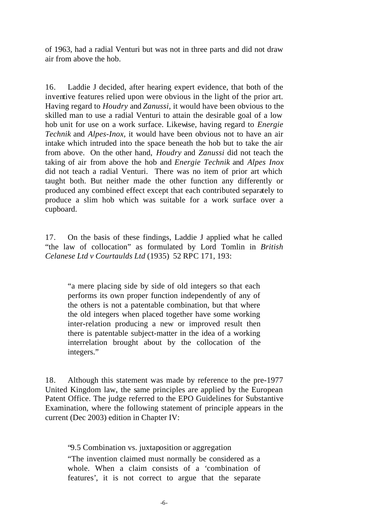of 1963, had a radial Venturi but was not in three parts and did not draw air from above the hob.

16. Laddie J decided, after hearing expert evidence, that both of the inventive features relied upon were obvious in the light of the prior art. Having regard to *Houdry* and *Zanussi*, it would have been obvious to the skilled man to use a radial Venturi to attain the desirable goal of a low hob unit for use on a work surface. Likewise, having regard to *Energie Technik* and *Alpes-Inox*, it would have been obvious not to have an air intake which intruded into the space beneath the hob but to take the air from above. On the other hand, *Houdry* and *Zanussi* did not teach the taking of air from above the hob and *Energie Technik* and *Alpes Inox* did not teach a radial Venturi. There was no item of prior art which taught both. But neither made the other function any differently or produced any combined effect except that each contributed separately to produce a slim hob which was suitable for a work surface over a cupboard.

17. On the basis of these findings, Laddie J applied what he called "the law of collocation" as formulated by Lord Tomlin in *British Celanese Ltd v Courtaulds Ltd* (1935) 52 RPC 171, 193:

"a mere placing side by side of old integers so that each performs its own proper function independently of any of the others is not a patentable combination, but that where the old integers when placed together have some working inter-relation producing a new or improved result then there is patentable subject-matter in the idea of a working interrelation brought about by the collocation of the integers."

18. Although this statement was made by reference to the pre-1977 United Kingdom law, the same principles are applied by the European Patent Office. The judge referred to the EPO Guidelines for Substantive Examination, where the following statement of principle appears in the current (Dec 2003) edition in Chapter IV:

"9.5 Combination vs. juxtaposition or aggregation

"The invention claimed must normally be considered as a whole. When a claim consists of a 'combination of features', it is not correct to argue that the separate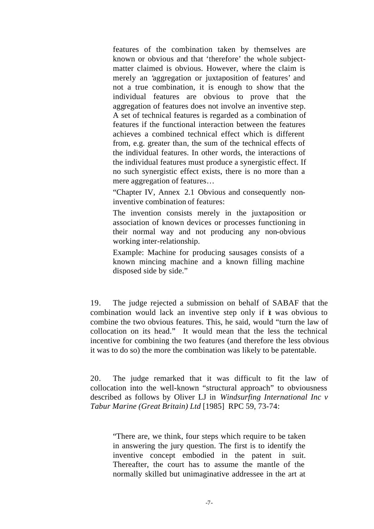features of the combination taken by themselves are known or obvious and that 'therefore' the whole subjectmatter claimed is obvious. However, where the claim is merely an 'aggregation or juxtaposition of features' and not a true combination, it is enough to show that the individual features are obvious to prove that the aggregation of features does not involve an inventive step. A set of technical features is regarded as a combination of features if the functional interaction between the features achieves a combined technical effect which is different from, e.g. greater than, the sum of the technical effects of the individual features. In other words, the interactions of the individual features must produce a synergistic effect. If no such synergistic effect exists, there is no more than a mere aggregation of features…

"Chapter IV, Annex 2.1 Obvious and consequently noninventive combination of features:

The invention consists merely in the juxtaposition or association of known devices or processes functioning in their normal way and not producing any non-obvious working inter-relationship.

Example: Machine for producing sausages consists of a known mincing machine and a known filling machine disposed side by side."

19. The judge rejected a submission on behalf of SABAF that the combination would lack an inventive step only if it was obvious to combine the two obvious features. This, he said, would "turn the law of collocation on its head." It would mean that the less the technical incentive for combining the two features (and therefore the less obvious it was to do so) the more the combination was likely to be patentable.

20. The judge remarked that it was difficult to fit the law of collocation into the well-known "structural approach" to obviousness described as follows by Oliver LJ in *Windsurfing International Inc v Tabur Marine (Great Britain) Ltd* [1985] RPC 59, 73-74:

"There are, we think, four steps which require to be taken in answering the jury question. The first is to identify the inventive concept embodied in the patent in suit. Thereafter, the court has to assume the mantle of the normally skilled but unimaginative addressee in the art at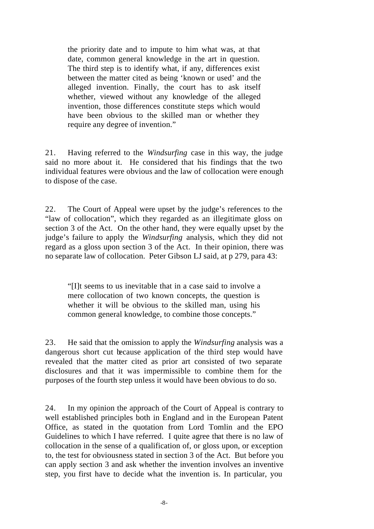the priority date and to impute to him what was, at that date, common general knowledge in the art in question. The third step is to identify what, if any, differences exist between the matter cited as being 'known or used' and the alleged invention. Finally, the court has to ask itself whether, viewed without any knowledge of the alleged invention, those differences constitute steps which would have been obvious to the skilled man or whether they require any degree of invention."

21. Having referred to the *Windsurfing* case in this way, the judge said no more about it. He considered that his findings that the two individual features were obvious and the law of collocation were enough to dispose of the case.

22. The Court of Appeal were upset by the judge's references to the "law of collocation", which they regarded as an illegitimate gloss on section 3 of the Act. On the other hand, they were equally upset by the judge's failure to apply the *Windsurfing* analysis, which they did not regard as a gloss upon section 3 of the Act. In their opinion, there was no separate law of collocation. Peter Gibson LJ said, at p 279, para 43:

"[I]t seems to us inevitable that in a case said to involve a mere collocation of two known concepts, the question is whether it will be obvious to the skilled man, using his common general knowledge, to combine those concepts."

23. He said that the omission to apply the *Windsurfing* analysis was a dangerous short cut because application of the third step would have revealed that the matter cited as prior art consisted of two separate disclosures and that it was impermissible to combine them for the purposes of the fourth step unless it would have been obvious to do so.

24. In my opinion the approach of the Court of Appeal is contrary to well established principles both in England and in the European Patent Office, as stated in the quotation from Lord Tomlin and the EPO Guidelines to which I have referred. I quite agree that there is no law of collocation in the sense of a qualification of, or gloss upon, or exception to, the test for obviousness stated in section 3 of the Act. But before you can apply section 3 and ask whether the invention involves an inventive step, you first have to decide what the invention is. In particular, you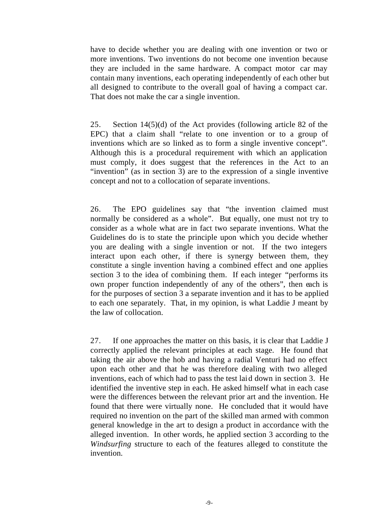have to decide whether you are dealing with one invention or two or more inventions. Two inventions do not become one invention because they are included in the same hardware. A compact motor car may contain many inventions, each operating independently of each other but all designed to contribute to the overall goal of having a compact car. That does not make the car a single invention.

25. Section 14(5)(d) of the Act provides (following article 82 of the EPC) that a claim shall "relate to one invention or to a group of inventions which are so linked as to form a single inventive concept". Although this is a procedural requirement with which an application must comply, it does suggest that the references in the Act to an "invention" (as in section 3) are to the expression of a single inventive concept and not to a collocation of separate inventions.

26. The EPO guidelines say that "the invention claimed must normally be considered as a whole". But equally, one must not try to consider as a whole what are in fact two separate inventions. What the Guidelines do is to state the principle upon which you decide whether you are dealing with a single invention or not. If the two integers interact upon each other, if there is synergy between them, they constitute a single invention having a combined effect and one applies section 3 to the idea of combining them. If each integer "performs its own proper function independently of any of the others", then each is for the purposes of section 3 a separate invention and it has to be applied to each one separately. That, in my opinion, is what Laddie J meant by the law of collocation.

27. If one approaches the matter on this basis, it is clear that Laddie J correctly applied the relevant principles at each stage. He found that taking the air above the hob and having a radial Venturi had no effect upon each other and that he was therefore dealing with two alleged inventions, each of which had to pass the test laid down in section 3. He identified the inventive step in each. He asked himself what in each case were the differences between the relevant prior art and the invention. He found that there were virtually none. He concluded that it would have required no invention on the part of the skilled man armed with common general knowledge in the art to design a product in accordance with the alleged invention. In other words, he applied section 3 according to the *Windsurfing* structure to each of the features alleged to constitute the invention.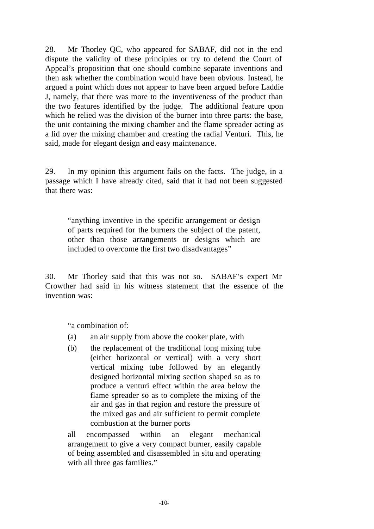28. Mr Thorley QC, who appeared for SABAF, did not in the end dispute the validity of these principles or try to defend the Court of Appeal's proposition that one should combine separate inventions and then ask whether the combination would have been obvious. Instead, he argued a point which does not appear to have been argued before Laddie J, namely, that there was more to the inventiveness of the product than the two features identified by the judge. The additional feature upon which he relied was the division of the burner into three parts: the base, the unit containing the mixing chamber and the flame spreader acting as a lid over the mixing chamber and creating the radial Venturi. This, he said, made for elegant design and easy maintenance.

29. In my opinion this argument fails on the facts. The judge, in a passage which I have already cited, said that it had not been suggested that there was:

"anything inventive in the specific arrangement or design of parts required for the burners the subject of the patent, other than those arrangements or designs which are included to overcome the first two disadvantages"

30. Mr Thorley said that this was not so. SABAF's expert Mr Crowther had said in his witness statement that the essence of the invention was:

"a combination of:

- (a) an air supply from above the cooker plate, with
- (b) the replacement of the traditional long mixing tube (either horizontal or vertical) with a very short vertical mixing tube followed by an elegantly designed horizontal mixing section shaped so as to produce a venturi effect within the area below the flame spreader so as to complete the mixing of the air and gas in that region and restore the pressure of the mixed gas and air sufficient to permit complete combustion at the burner ports

all encompassed within an elegant mechanical arrangement to give a very compact burner, easily capable of being assembled and disassembled in situ and operating with all three gas families."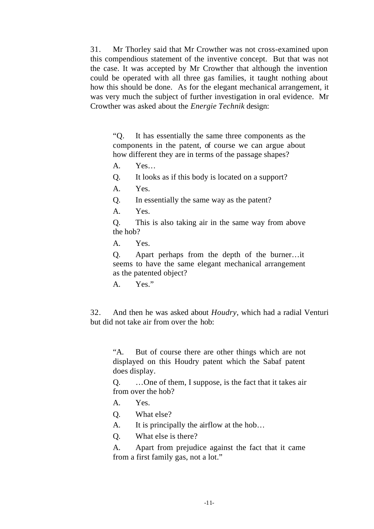31. Mr Thorley said that Mr Crowther was not cross-examined upon this compendious statement of the inventive concept. But that was not the case. It was accepted by Mr Crowther that although the invention could be operated with all three gas families, it taught nothing about how this should be done. As for the elegant mechanical arrangement, it was very much the subject of further investigation in oral evidence. Mr Crowther was asked about the *Energie Technik* design:

"Q. It has essentially the same three components as the components in the patent, of course we can argue about how different they are in terms of the passage shapes?

A. Yes…

Q. It looks as if this body is located on a support?

A. Yes.

Q. In essentially the same way as the patent?

A. Yes.

Q. This is also taking air in the same way from above the hob?

A. Yes.

Q. Apart perhaps from the depth of the burner…it seems to have the same elegant mechanical arrangement as the patented object?

A. Yes."

32. And then he was asked about *Houdry*, which had a radial Venturi but did not take air from over the hob:

"A. But of course there are other things which are not displayed on this Houdry patent which the Sabaf patent does display.

Q. …One of them, I suppose, is the fact that it takes air from over the hob?

- A. Yes.
- Q. What else?
- A. It is principally the airflow at the hob…
- Q. What else is there?

A. Apart from prejudice against the fact that it came from a first family gas, not a lot."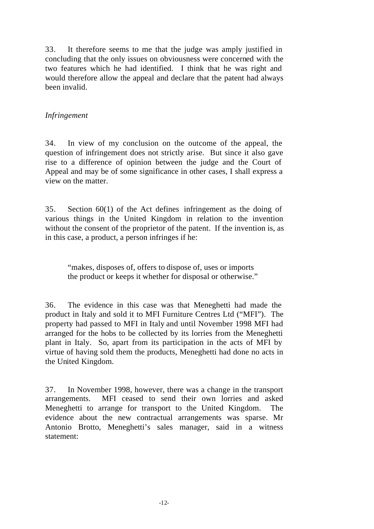33. It therefore seems to me that the judge was amply justified in concluding that the only issues on obviousness were concerned with the two features which he had identified. I think that he was right and would therefore allow the appeal and declare that the patent had always been invalid.

## *Infringement*

34. In view of my conclusion on the outcome of the appeal, the question of infringement does not strictly arise. But since it also gave rise to a difference of opinion between the judge and the Court of Appeal and may be of some significance in other cases, I shall express a view on the matter.

35. Section 60(1) of the Act defines infringement as the doing of various things in the United Kingdom in relation to the invention without the consent of the proprietor of the patent. If the invention is, as in this case, a product, a person infringes if he:

"makes, disposes of, offers to dispose of, uses or imports the product or keeps it whether for disposal or otherwise."

36. The evidence in this case was that Meneghetti had made the product in Italy and sold it to MFI Furniture Centres Ltd ("MFI"). The property had passed to MFI in Italy and until November 1998 MFI had arranged for the hobs to be collected by its lorries from the Meneghetti plant in Italy. So, apart from its participation in the acts of MFI by virtue of having sold them the products, Meneghetti had done no acts in the United Kingdom.

37. In November 1998, however, there was a change in the transport arrangements. MFI ceased to send their own lorries and asked Meneghetti to arrange for transport to the United Kingdom. The evidence about the new contractual arrangements was sparse. Mr Antonio Brotto, Meneghetti's sales manager, said in a witness statement: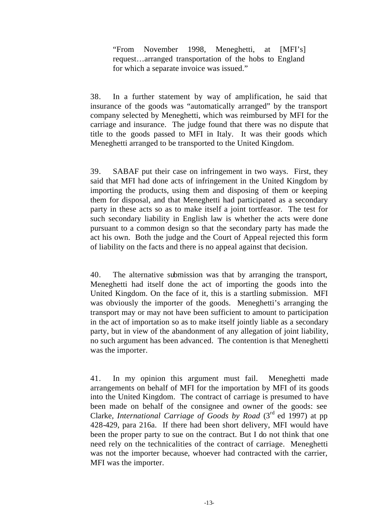"From November 1998, Meneghetti, at [MFI's] request…arranged transportation of the hobs to England for which a separate invoice was issued."

38. In a further statement by way of amplification, he said that insurance of the goods was "automatically arranged" by the transport company selected by Meneghetti, which was reimbursed by MFI for the carriage and insurance. The judge found that there was no dispute that title to the goods passed to MFI in Italy. It was their goods which Meneghetti arranged to be transported to the United Kingdom.

39. SABAF put their case on infringement in two ways. First, they said that MFI had done acts of infringement in the United Kingdom by importing the products, using them and disposing of them or keeping them for disposal, and that Meneghetti had participated as a secondary party in these acts so as to make itself a joint tortfeasor. The test for such secondary liability in English law is whether the acts were done pursuant to a common design so that the secondary party has made the act his own. Both the judge and the Court of Appeal rejected this form of liability on the facts and there is no appeal against that decision.

40. The alternative submission was that by arranging the transport, Meneghetti had itself done the act of importing the goods into the United Kingdom. On the face of it, this is a startling submission. MFI was obviously the importer of the goods. Meneghetti's arranging the transport may or may not have been sufficient to amount to participation in the act of importation so as to make itself jointly liable as a secondary party, but in view of the abandonment of any allegation of joint liability, no such argument has been advanced. The contention is that Meneghetti was the importer.

41. In my opinion this argument must fail. Meneghetti made arrangements on behalf of MFI for the importation by MFI of its goods into the United Kingdom. The contract of carriage is presumed to have been made on behalf of the consignee and owner of the goods: see Clarke, *International Carriage of Goods by Road* (3rd ed 1997) at pp 428-429, para 216a. If there had been short delivery, MFI would have been the proper party to sue on the contract. But I do not think that one need rely on the technicalities of the contract of carriage. Meneghetti was not the importer because, whoever had contracted with the carrier, MFI was the importer.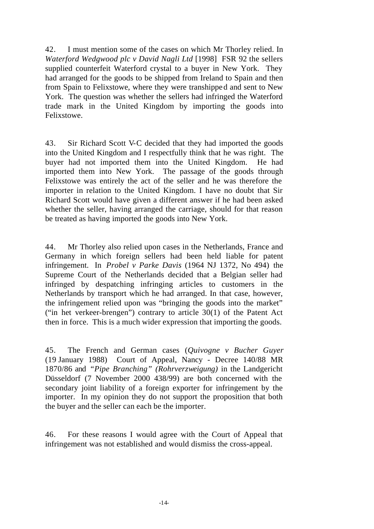42. I must mention some of the cases on which Mr Thorley relied. In *Waterford Wedgwood plc v David Nagli Ltd* [1998] FSR 92 the sellers supplied counterfeit Waterford crystal to a buyer in New York. They had arranged for the goods to be shipped from Ireland to Spain and then from Spain to Felixstowe, where they were transhipped and sent to New York. The question was whether the sellers had infringed the Waterford trade mark in the United Kingdom by importing the goods into Felixstowe.

43. Sir Richard Scott V-C decided that they had imported the goods into the United Kingdom and I respectfully think that he was right. The buyer had not imported them into the United Kingdom. He had imported them into New York. The passage of the goods through Felixstowe was entirely the act of the seller and he was therefore the importer in relation to the United Kingdom. I have no doubt that Sir Richard Scott would have given a different answer if he had been asked whether the seller, having arranged the carriage, should for that reason be treated as having imported the goods into New York.

44. Mr Thorley also relied upon cases in the Netherlands, France and Germany in which foreign sellers had been held liable for patent infringement. In *Probel v Parke Davis* (1964 NJ 1372, No 494) the Supreme Court of the Netherlands decided that a Belgian seller had infringed by despatching infringing articles to customers in the Netherlands by transport which he had arranged. In that case, however, the infringement relied upon was "bringing the goods into the market" ("in het verkeer-brengen") contrary to article 30(1) of the Patent Act then in force. This is a much wider expression that importing the goods.

45. The French and German cases (*Quivogne v Bucher Guyer* (19 January 1988) Court of Appeal, Nancy - Decree 140/88 MR 1870/86 and *"Pipe Branching" (Rohrverzweigung)* in the Landgericht Düsseldorf (7 November 2000 438/99) are both concerned with the secondary joint liability of a foreign exporter for infringement by the importer. In my opinion they do not support the proposition that both the buyer and the seller can each be the importer.

46. For these reasons I would agree with the Court of Appeal that infringement was not established and would dismiss the cross-appeal.